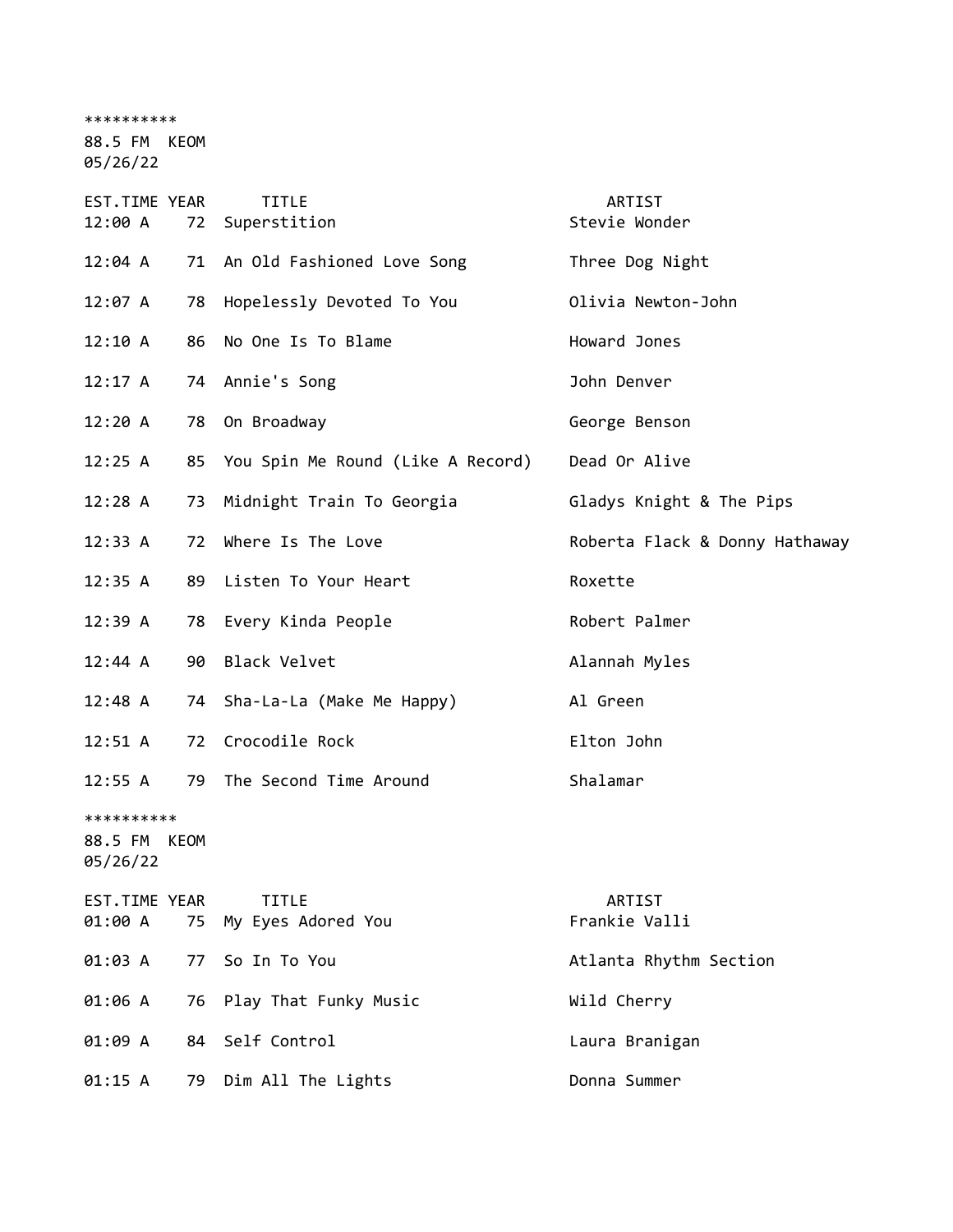\*\*\*\*\*\*\*\*\*\*

88.5 FM KEOM

05/26/22

| EST.TIME YEAR<br>12:00 A               | 72 | <b>TITLE</b><br>Superstition         | ARTIST<br>Stevie Wonder        |
|----------------------------------------|----|--------------------------------------|--------------------------------|
| 12:04 A                                |    | 71 An Old Fashioned Love Song        | Three Dog Night                |
| 12:07 A                                | 78 | Hopelessly Devoted To You            | Olivia Newton-John             |
| 12:10 A                                | 86 | No One Is To Blame                   | Howard Jones                   |
| 12:17 A                                |    | 74 Annie's Song                      | John Denver                    |
| 12:20A                                 | 78 | On Broadway                          | George Benson                  |
| 12:25 A                                |    | 85 You Spin Me Round (Like A Record) | Dead Or Alive                  |
| 12:28 A                                | 73 | Midnight Train To Georgia            | Gladys Knight & The Pips       |
| 12:33 A                                | 72 | Where Is The Love                    | Roberta Flack & Donny Hathaway |
| 12:35 A                                | 89 | Listen To Your Heart                 | Roxette                        |
| 12:39 A                                | 78 | Every Kinda People                   | Robert Palmer                  |
| 12:44 A                                | 90 | Black Velvet                         | Alannah Myles                  |
| $12:48$ A                              | 74 | Sha-La-La (Make Me Happy)            | Al Green                       |
| 12:51 A                                | 72 | Crocodile Rock                       | Elton John                     |
| 12:55 A                                | 79 | The Second Time Around               | Shalamar                       |
| **********<br>88.5 FM KEOM<br>05/26/22 |    |                                      |                                |
| EST.TIME YEAR<br>01:00 A               | 75 | <b>TITLE</b><br>My Eyes Adored You   | ARTIST<br>Frankie Valli        |
| 01:03 A                                | 77 | So In To You                         | Atlanta Rhythm Section         |
| 01:06 A                                | 76 | Play That Funky Music                | Wild Cherry                    |
| 01:09 A                                | 84 | Self Control                         | Laura Branigan                 |
| 01:15 A                                | 79 | Dim All The Lights                   | Donna Summer                   |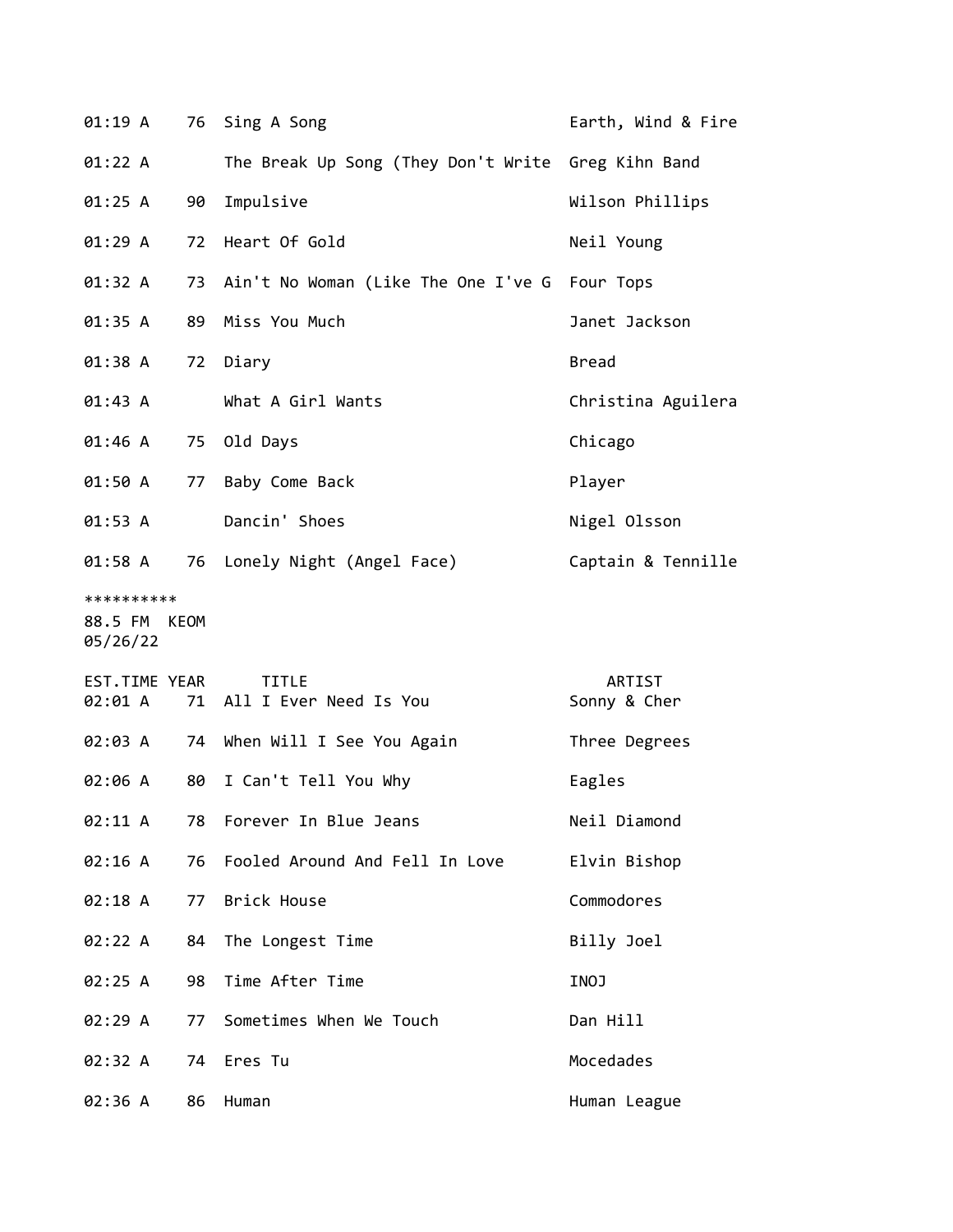| 01:19 A                                |    | 76 Sing A Song                                     | Earth, Wind & Fire     |
|----------------------------------------|----|----------------------------------------------------|------------------------|
| 01:22 A                                |    | The Break Up Song (They Don't Write Greg Kihn Band |                        |
| 01:25 A                                | 90 | Impulsive                                          | Wilson Phillips        |
| 01:29 A                                |    | 72 Heart Of Gold                                   | Neil Young             |
| 01:32 A                                |    | 73 Ain't No Woman (Like The One I've G Four Tops   |                        |
| 01:35 A                                | 89 | Miss You Much                                      | Janet Jackson          |
| 01:38 A                                |    | 72 Diary                                           | <b>Bread</b>           |
| 01:43 A                                |    | What A Girl Wants                                  | Christina Aguilera     |
| 01:46 A                                |    | 75 Old Days                                        | Chicago                |
| 01:50 A                                | 77 | Baby Come Back                                     | Player                 |
| 01:53 A                                |    | Dancin' Shoes                                      | Nigel Olsson           |
| 01:58 A                                |    | 76 Lonely Night (Angel Face)                       | Captain & Tennille     |
| **********<br>88.5 FM KEOM<br>05/26/22 |    |                                                    |                        |
| EST.TIME YEAR<br>02:01 A               |    | <b>TITLE</b><br>71 All I Ever Need Is You          | ARTIST<br>Sonny & Cher |
| 02:03 A                                |    | 74 When Will I See You Again                       | Three Degrees          |
| 02:06 A                                | 80 | I Can't Tell You Why                               | Eagles                 |
| 02:11 A                                | 78 | Forever In Blue Jeans                              | Neil Diamond           |
| 02:16 A                                | 76 | Fooled Around And Fell In Love                     | Elvin Bishop           |
| 02:18 A                                | 77 | Brick House                                        | Commodores             |
| 02:22 A                                | 84 | The Longest Time                                   | Billy Joel             |
| 02:25 A                                | 98 | Time After Time                                    | INOJ                   |
| 02:29 A                                | 77 | Sometimes When We Touch                            | Dan Hill               |
| 02:32 A                                | 74 | Eres Tu                                            | Mocedades              |
| 02:36 A                                | 86 | Human                                              | Human League           |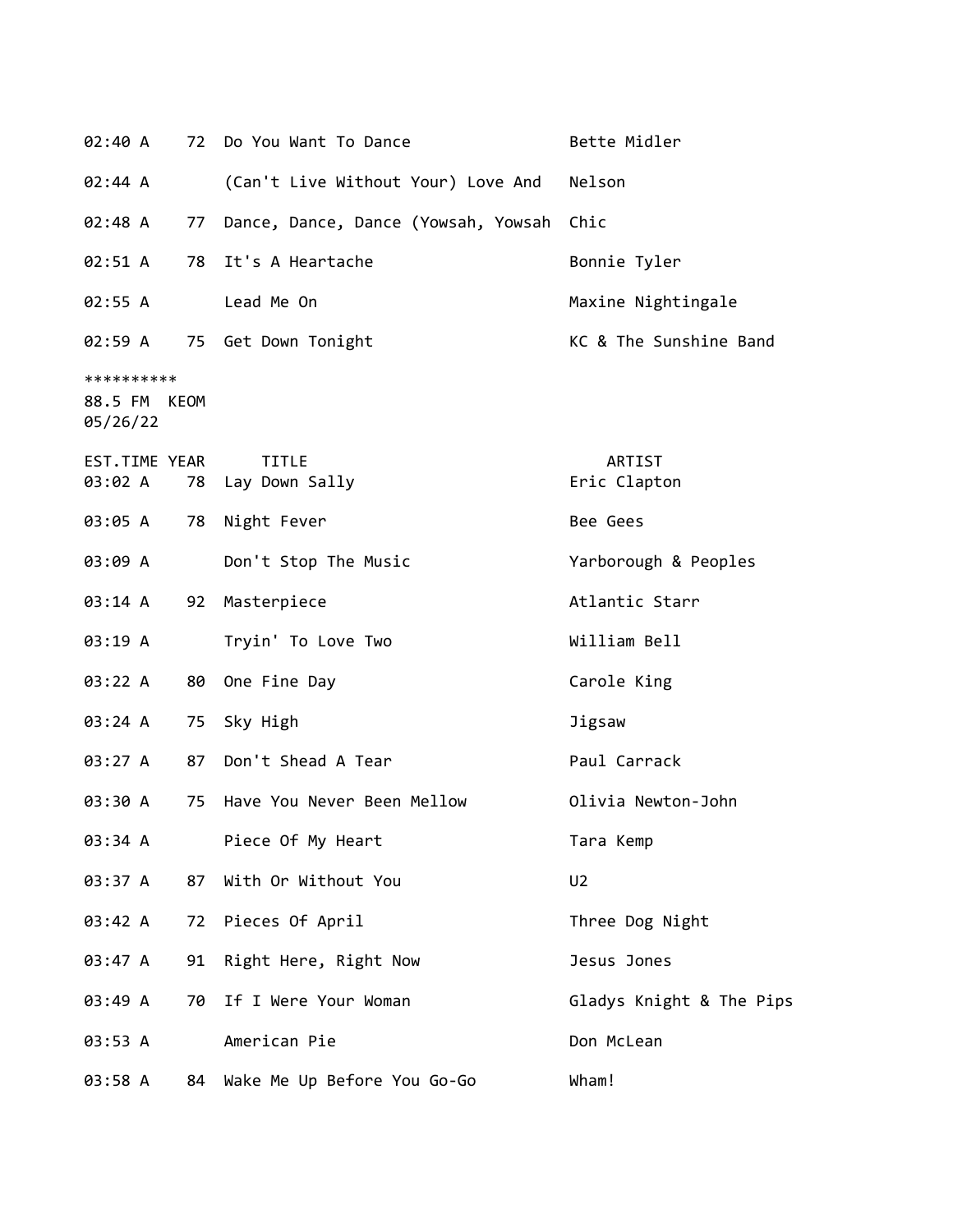| 02:40 A                                | 72 | Do You Want To Dance                | Bette Midler             |
|----------------------------------------|----|-------------------------------------|--------------------------|
| 02:44 A                                |    | (Can't Live Without Your) Love And  | Nelson                   |
| 02:48 A                                | 77 | Dance, Dance, Dance (Yowsah, Yowsah | Chic                     |
| 02:51 A                                | 78 | It's A Heartache                    | Bonnie Tyler             |
| 02:55 A                                |    | Lead Me On                          | Maxine Nightingale       |
| 02:59 A                                |    | 75 Get Down Tonight                 | KC & The Sunshine Band   |
| **********<br>88.5 FM KEOM<br>05/26/22 |    |                                     |                          |
| EST.TIME YEAR<br>03:02 A               | 78 | <b>TITLE</b><br>Lay Down Sally      | ARTIST<br>Eric Clapton   |
| 03:05 A                                | 78 | Night Fever                         | Bee Gees                 |
| 03:09 A                                |    | Don't Stop The Music                | Yarborough & Peoples     |
| 03:14 A                                | 92 | Masterpiece                         | Atlantic Starr           |
| 03:19 A                                |    | Tryin' To Love Two                  | William Bell             |
| 03:22 A                                | 80 | One Fine Day                        | Carole King              |
| 03:24 A                                | 75 | Sky High                            | Jigsaw                   |
| 03:27 A                                | 87 | Don't Shead A Tear                  | Paul Carrack             |
| 03:30 A                                | 75 | Have You Never Been Mellow          | Olivia Newton-John       |
| 03:34 A                                |    | Piece Of My Heart                   | Tara Kemp                |
| 03:37 A                                | 87 | With Or Without You                 | U <sub>2</sub>           |
| 03:42 A                                | 72 | Pieces Of April                     | Three Dog Night          |
| 03:47 A                                | 91 | Right Here, Right Now               | Jesus Jones              |
| 03:49 A                                | 70 | If I Were Your Woman                | Gladys Knight & The Pips |
| 03:53 A                                |    | American Pie                        | Don McLean               |
| 03:58 A                                | 84 | Wake Me Up Before You Go-Go         | Wham!                    |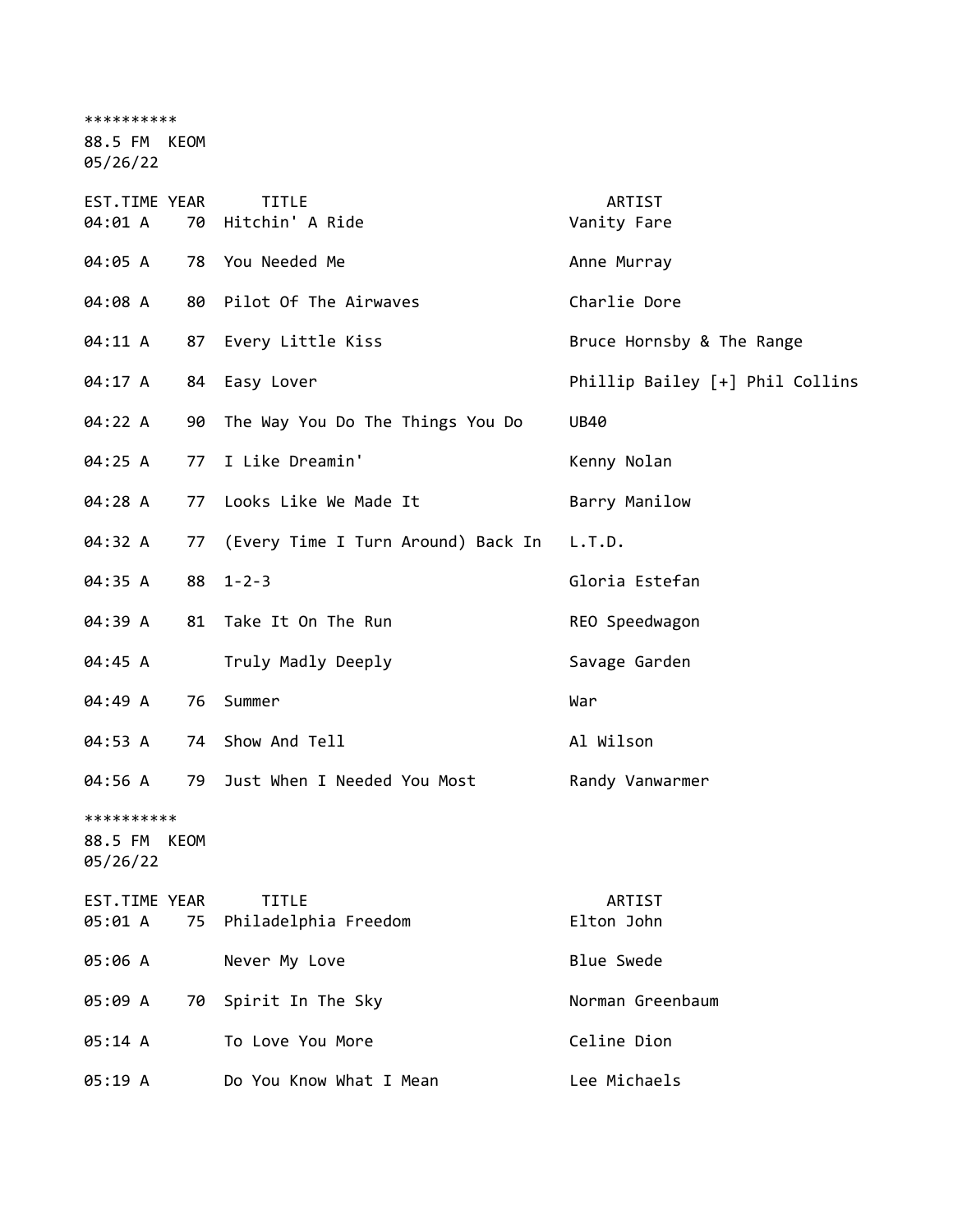\*\*\*\*\*\*\*\*\*\*

88.5 FM KEOM

05/26/22

| EST.TIME YEAR<br>04:01 A          | 70   | <b>TITLE</b><br>Hitchin' A Ride      | ARTIST<br>Vanity Fare           |
|-----------------------------------|------|--------------------------------------|---------------------------------|
| 04:05 A                           |      | 78 You Needed Me                     | Anne Murray                     |
| 04:08 A                           | 80   | Pilot Of The Airwaves                | Charlie Dore                    |
| 04:11 A                           | 87   | Every Little Kiss                    | Bruce Hornsby & The Range       |
| 04:17 A                           |      | 84 Easy Lover                        | Phillip Bailey [+] Phil Collins |
| 04:22 A                           | 90   | The Way You Do The Things You Do     | <b>UB40</b>                     |
| 04:25 A                           | 77   | I Like Dreamin'                      | Kenny Nolan                     |
| 04:28 A                           | 77   | Looks Like We Made It                | Barry Manilow                   |
| 04:32 A                           | 77   | (Every Time I Turn Around) Back In   | L.T.D.                          |
| 04:35 A                           | 88   | $1 - 2 - 3$                          | Gloria Estefan                  |
| 04:39 A                           | 81   | Take It On The Run                   | REO Speedwagon                  |
| 04:45 A                           |      | Truly Madly Deeply                   | Savage Garden                   |
| 04:49 A                           | 76   | Summer                               | War                             |
| 04:53 A                           | 74   | Show And Tell                        | Al Wilson                       |
| 04:56 A                           | 79   | Just When I Needed You Most          | Randy Vanwarmer                 |
| **********<br>88.5 FM<br>05/26/22 | KEOM |                                      |                                 |
| EST.TIME YEAR<br>05:01 A          | 75   | <b>TITLE</b><br>Philadelphia Freedom | ARTIST<br>Elton John            |
| 05:06 A                           |      | Never My Love                        | <b>Blue Swede</b>               |
| 05:09 A                           | 70   | Spirit In The Sky                    | Norman Greenbaum                |
| 05:14 A                           |      | To Love You More                     | Celine Dion                     |
| 05:19 A                           |      | Do You Know What I Mean              | Lee Michaels                    |
|                                   |      |                                      |                                 |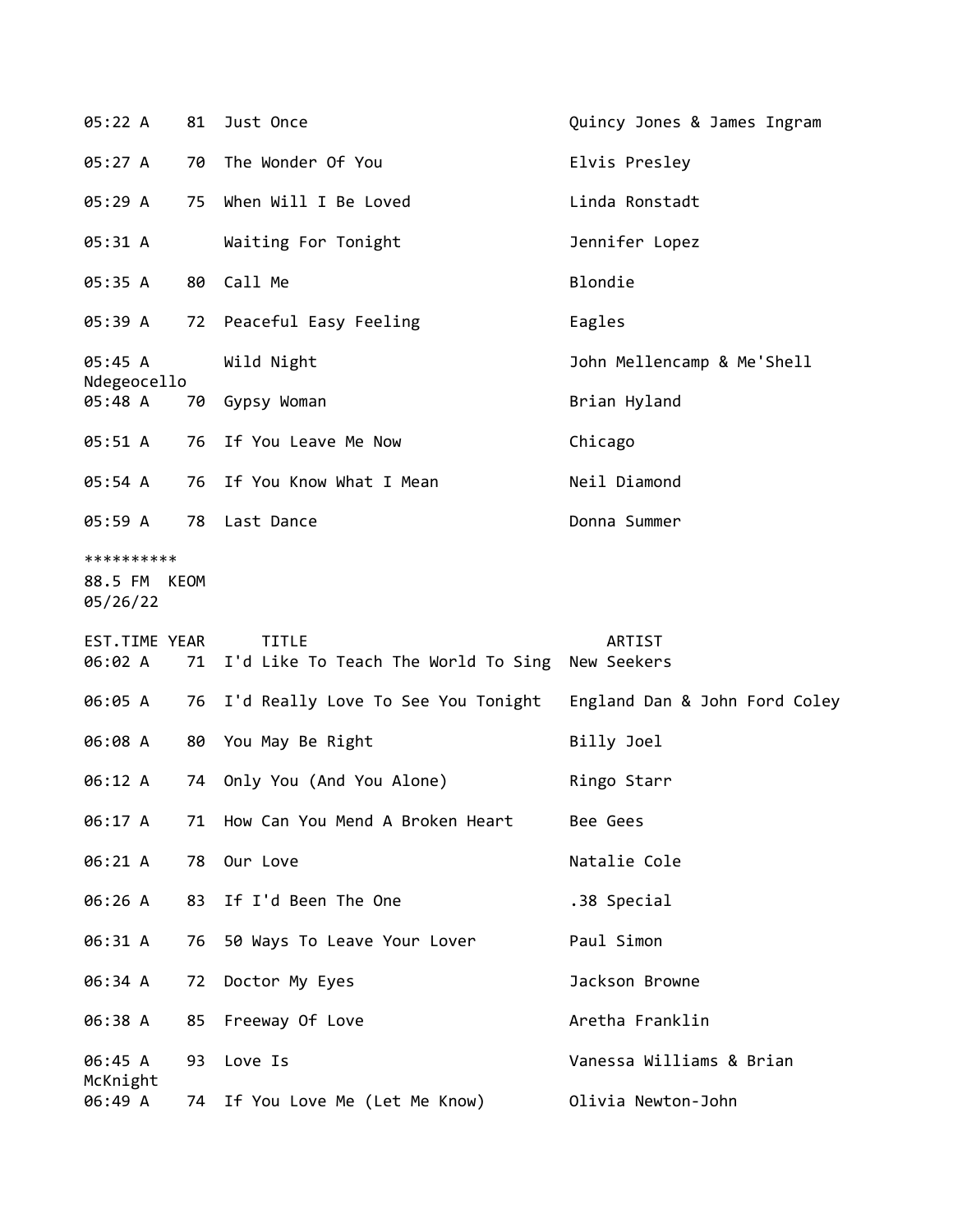| 05:22 A                                |    | 81 Just Once                                                       | Quincy Jones & James Ingram   |
|----------------------------------------|----|--------------------------------------------------------------------|-------------------------------|
| 05:27 A                                |    | 70 The Wonder Of You                                               | Elvis Presley                 |
| 05:29 A                                | 75 | When Will I Be Loved                                               | Linda Ronstadt                |
| 05:31 A                                |    | Waiting For Tonight                                                | Jennifer Lopez                |
| 05:35 A                                |    | 80 Call Me                                                         | Blondie                       |
| 05:39 A                                |    | 72 Peaceful Easy Feeling                                           | Eagles                        |
| 05:45 A                                |    | Wild Night                                                         | John Mellencamp & Me'Shell    |
| Ndegeocello<br>05:48 A                 |    | 70 Gypsy Woman                                                     | Brian Hyland                  |
| 05:51 A                                |    | 76 If You Leave Me Now                                             | Chicago                       |
| 05:54 A                                |    | 76 If You Know What I Mean                                         | Neil Diamond                  |
| 05:59 A                                |    | 78 Last Dance                                                      | Donna Summer                  |
| **********<br>88.5 FM KEOM<br>05/26/22 |    |                                                                    |                               |
|                                        |    |                                                                    |                               |
| EST.TIME YEAR<br>06:02 A               |    | <b>TITLE</b><br>71 I'd Like To Teach The World To Sing New Seekers | ARTIST                        |
| 06:05 A                                |    | 76 I'd Really Love To See You Tonight                              | England Dan & John Ford Coley |
| 06:08 A                                |    | 80 You May Be Right                                                | Billy Joel                    |
| 06:12 A                                |    | 74 Only You (And You Alone)                                        | Ringo Starr                   |
| 06:17 A                                | 71 | How Can You Mend A Broken Heart                                    | Bee Gees                      |
| 06:21 A                                |    | 78 Our Love                                                        | Natalie Cole                  |
| 06:26 A                                |    | 83 If I'd Been The One                                             | .38 Special                   |
| 06:31 A                                | 76 | 50 Ways To Leave Your Lover                                        | Paul Simon                    |
| 06:34 A                                | 72 | Doctor My Eyes                                                     | Jackson Browne                |
| 06:38 A                                |    | 85 Freeway Of Love                                                 | Aretha Franklin               |
| 06:45 A<br>McKnight                    | 93 | Love Is                                                            | Vanessa Williams & Brian      |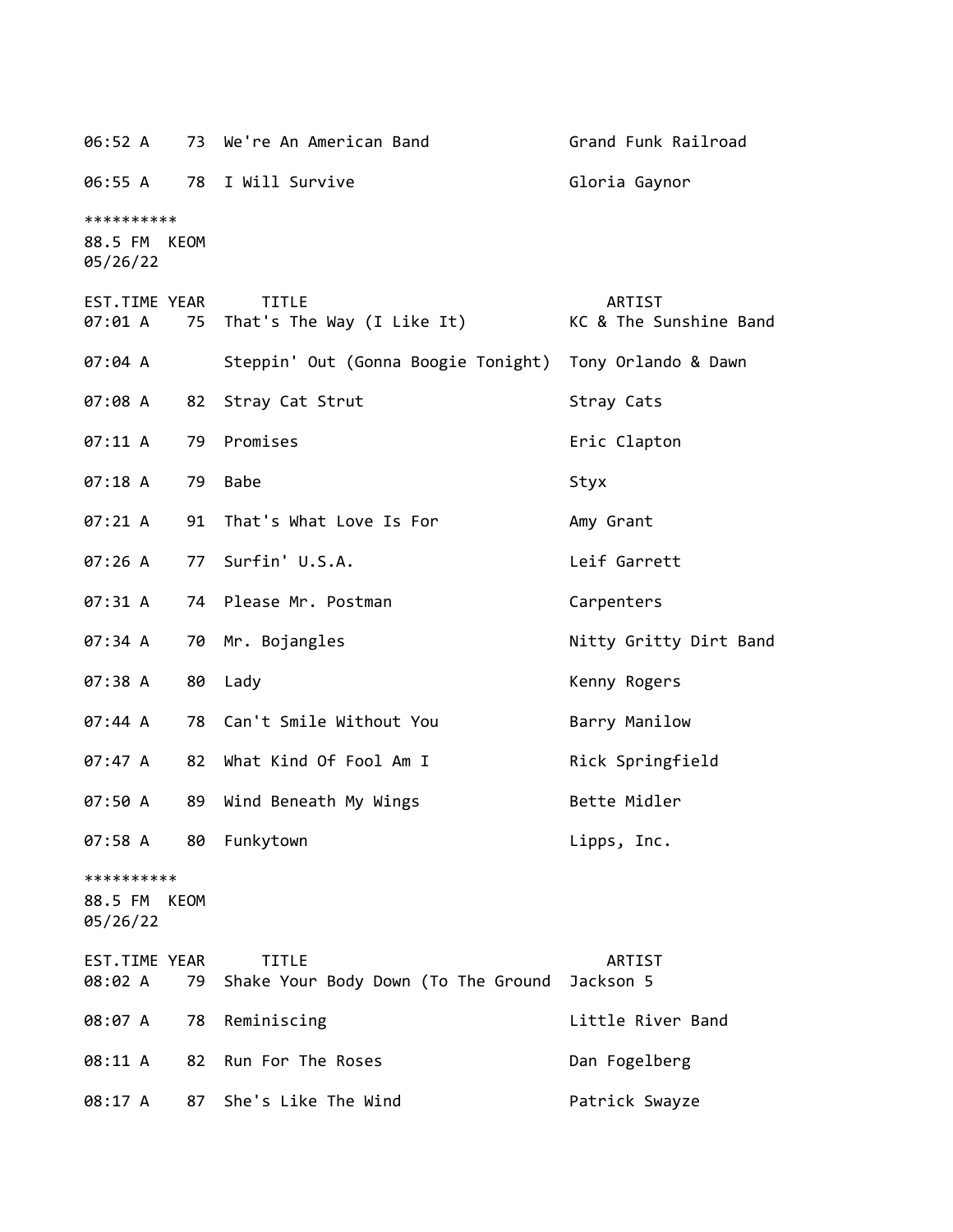06:52 A 73 We're An American Band Grand Funk Railroad 06:55 A 78 I Will Survive Contract Communist Contract Gaynor \*\*\*\*\*\*\*\*\*\* 88.5 FM KEOM 05/26/22 EST.TIME YEAR TITLE ARTIST 07:01 A 75 That's The Way (I Like It) KC & The Sunshine Band 07:04 A Steppin' Out (Gonna Boogie Tonight) Tony Orlando & Dawn 07:08 A 82 Stray Cat Strut Stray Cats 07:11 A 79 Promises extending the Seric Clapton 07:18 A 79 Babe Styx 07:21 A 91 That's What Love Is For Amy Grant 07:26 A 77 Surfin' U.S.A. Leif Garrett 07:31 A 74 Please Mr. Postman Carpenters 07:34 A 70 Mr. Bojangles **Nitty Gritty Dirt Band** 07:38 A 80 Lady Contract Contract Contract Contract Contract Contract Contract Contract Contract Contract Contract Contract Contract Contract Contract Contract Contract Contract Contract Contract Contract Contract Contract 07:44 A 78 Can't Smile Without You Barry Manilow 07:47 A 82 What Kind Of Fool Am I Rick Springfield 07:50 A 89 Wind Beneath My Wings The Bette Midler 07:58 A 80 Funkytown Lipps, Inc. \*\*\*\*\*\*\*\*\*\* 88.5 FM KEOM 05/26/22 EST.TIME YEAR TITLE ARTIST 08:02 A 79 Shake Your Body Down (To The Ground Jackson 5 08:07 A 78 Reminiscing Communication Control 2016 2017 A Little River Band 08:11 A 82 Run For The Roses Dan Fogelberg 08:17 A 87 She's Like The Wind Patrick Swayze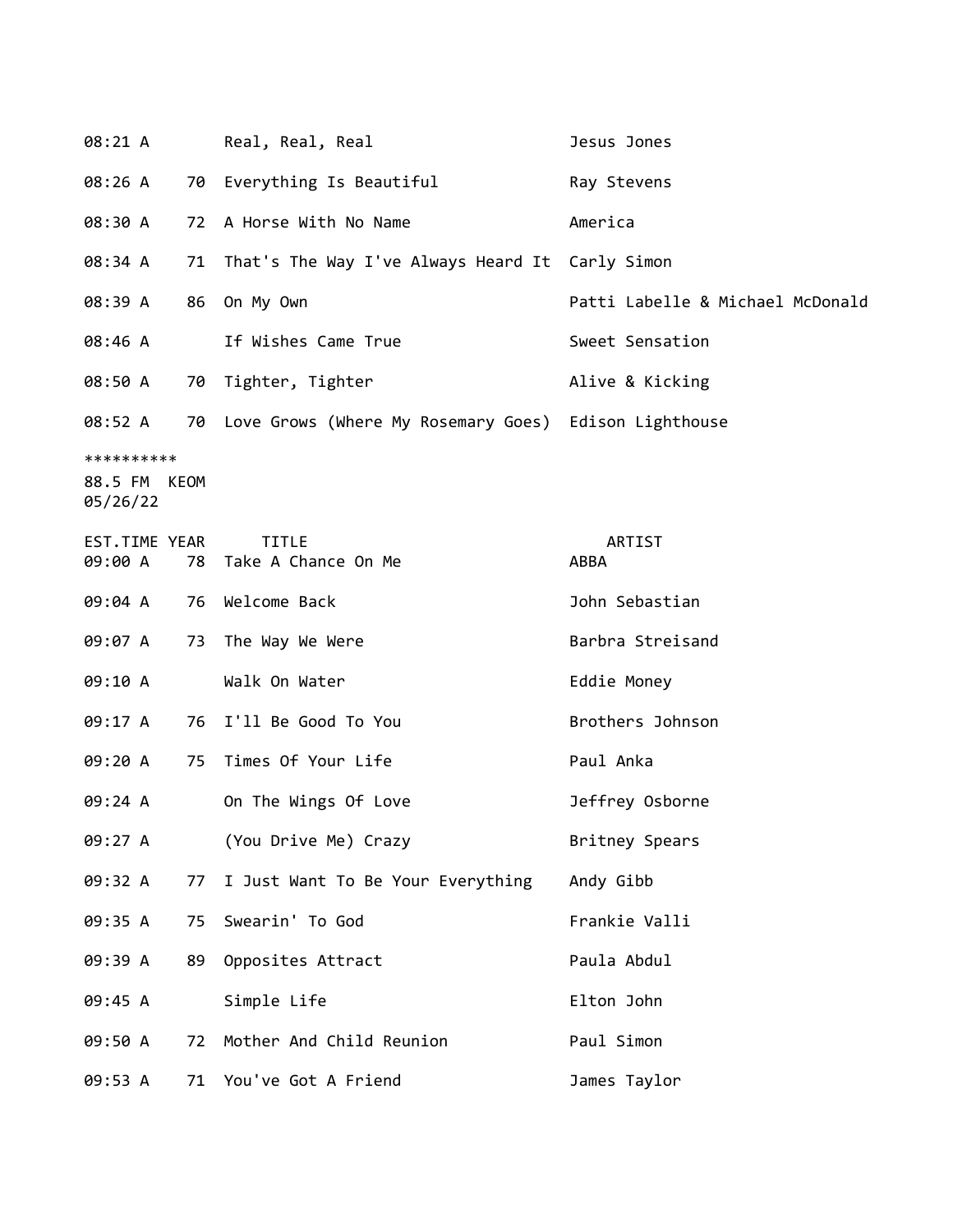| 08:21 A                                |    | Real, Real, Real                                         | Jesus Jones                      |
|----------------------------------------|----|----------------------------------------------------------|----------------------------------|
| 08:26 A                                | 70 | Everything Is Beautiful                                  | Ray Stevens                      |
| 08:30 A                                |    | 72 A Horse With No Name                                  | America                          |
| 08:34 A                                |    | 71 That's The Way I've Always Heard It Carly Simon       |                                  |
| 08:39 A                                | 86 | On My Own                                                | Patti Labelle & Michael McDonald |
| 08:46 A                                |    | If Wishes Came True                                      | Sweet Sensation                  |
| 08:50 A                                |    | 70 Tighter, Tighter                                      | Alive & Kicking                  |
| 08:52 A                                |    | 70 Love Grows (Where My Rosemary Goes) Edison Lighthouse |                                  |
| **********<br>88.5 FM KEOM<br>05/26/22 |    |                                                          |                                  |
| EST.TIME YEAR<br>09:00 A               | 78 | <b>TITLE</b><br>Take A Chance On Me                      | ARTIST<br>ABBA                   |
| 09:04 A                                |    | 76 Welcome Back                                          | John Sebastian                   |
| 09:07 A                                |    | 73 The Way We Were                                       | Barbra Streisand                 |
| 09:10 A                                |    | Walk On Water                                            | Eddie Money                      |
| 09:17 A                                |    | 76 I'll Be Good To You                                   | Brothers Johnson                 |
| 09:20 A                                |    | 75 Times Of Your Life                                    | Paul Anka                        |
| 09:24 A                                |    | On The Wings Of Love                                     | Jeffrey Osborne                  |
| 09:27 A                                |    | (You Drive Me) Crazy                                     | Britney Spears                   |
| 09:32 A                                | 77 | I Just Want To Be Your Everything                        | Andy Gibb                        |
| 09:35 A                                | 75 | Swearin' To God                                          | Frankie Valli                    |
| 09:39 A                                | 89 | Opposites Attract                                        | Paula Abdul                      |
| 09:45 A                                |    | Simple Life                                              | Elton John                       |
| 09:50 A                                | 72 | Mother And Child Reunion                                 | Paul Simon                       |
| 09:53 A                                |    | 71 You've Got A Friend                                   | James Taylor                     |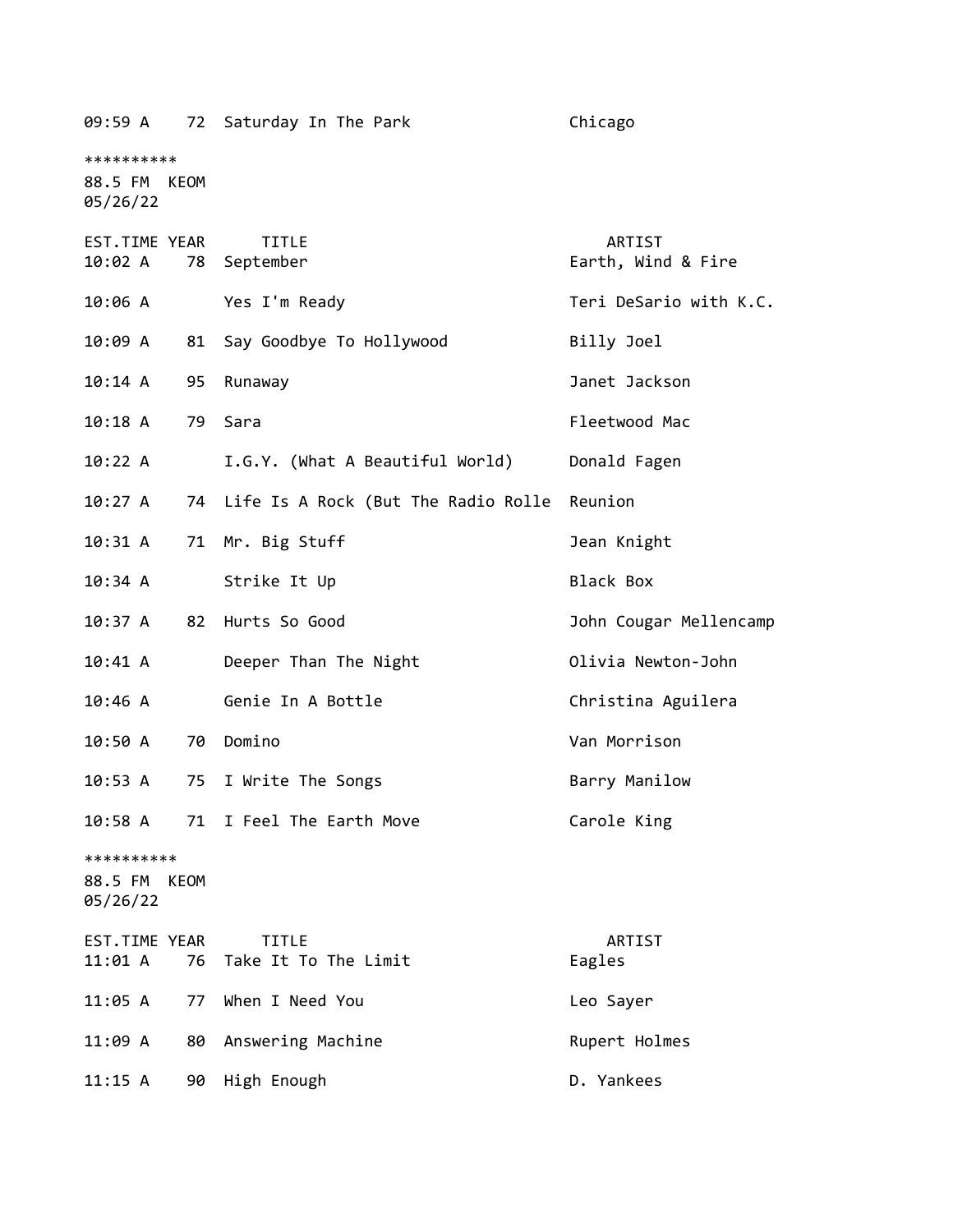| 09:59 A                                | 72   | Saturday In The Park                   | Chicago                      |
|----------------------------------------|------|----------------------------------------|------------------------------|
| **********<br>88.5 FM KEOM<br>05/26/22 |      |                                        |                              |
|                                        |      |                                        |                              |
| EST.TIME YEAR<br>10:02 A               | 78   | <b>TITLE</b><br>September              | ARTIST<br>Earth, Wind & Fire |
| 10:06 A                                |      | Yes I'm Ready                          | Teri DeSario with K.C.       |
| 10:09 A                                | 81   | Say Goodbye To Hollywood               | Billy Joel                   |
| 10:14 A                                | 95   | Runaway                                | Janet Jackson                |
| $10:18$ A                              | 79   | Sara                                   | Fleetwood Mac                |
| 10:22 A                                |      | I.G.Y. (What A Beautiful World)        | Donald Fagen                 |
| 10:27 A                                |      | 74 Life Is A Rock (But The Radio Rolle | Reunion                      |
| 10:31 A                                | 71   | Mr. Big Stuff                          | Jean Knight                  |
| 10:34 A                                |      | Strike It Up                           | Black Box                    |
| 10:37 A                                | 82   | Hurts So Good                          | John Cougar Mellencamp       |
| 10:41 A                                |      | Deeper Than The Night                  | Olivia Newton-John           |
| 10:46 A                                |      | Genie In A Bottle                      | Christina Aguilera           |
| 10:50 A                                | 70   | Domino                                 | Van Morrison                 |
| 10:53 A                                | 75   | I Write The Songs                      | Barry Manilow                |
| 10:58A                                 | 71   | I Feel The Earth Move                  | Carole King                  |
| **********<br>88.5 FM<br>05/26/22      | KEOM |                                        |                              |
| EST.TIME YEAR<br>11:01 A               | 76   | <b>TITLE</b><br>Take It To The Limit   | ARTIST<br>Eagles             |
| 11:05 A                                | 77   | When I Need You                        | Leo Sayer                    |
| 11:09 A                                | 80   | Answering Machine                      | Rupert Holmes                |
| 11:15 A                                | 90   | High Enough                            | D. Yankees                   |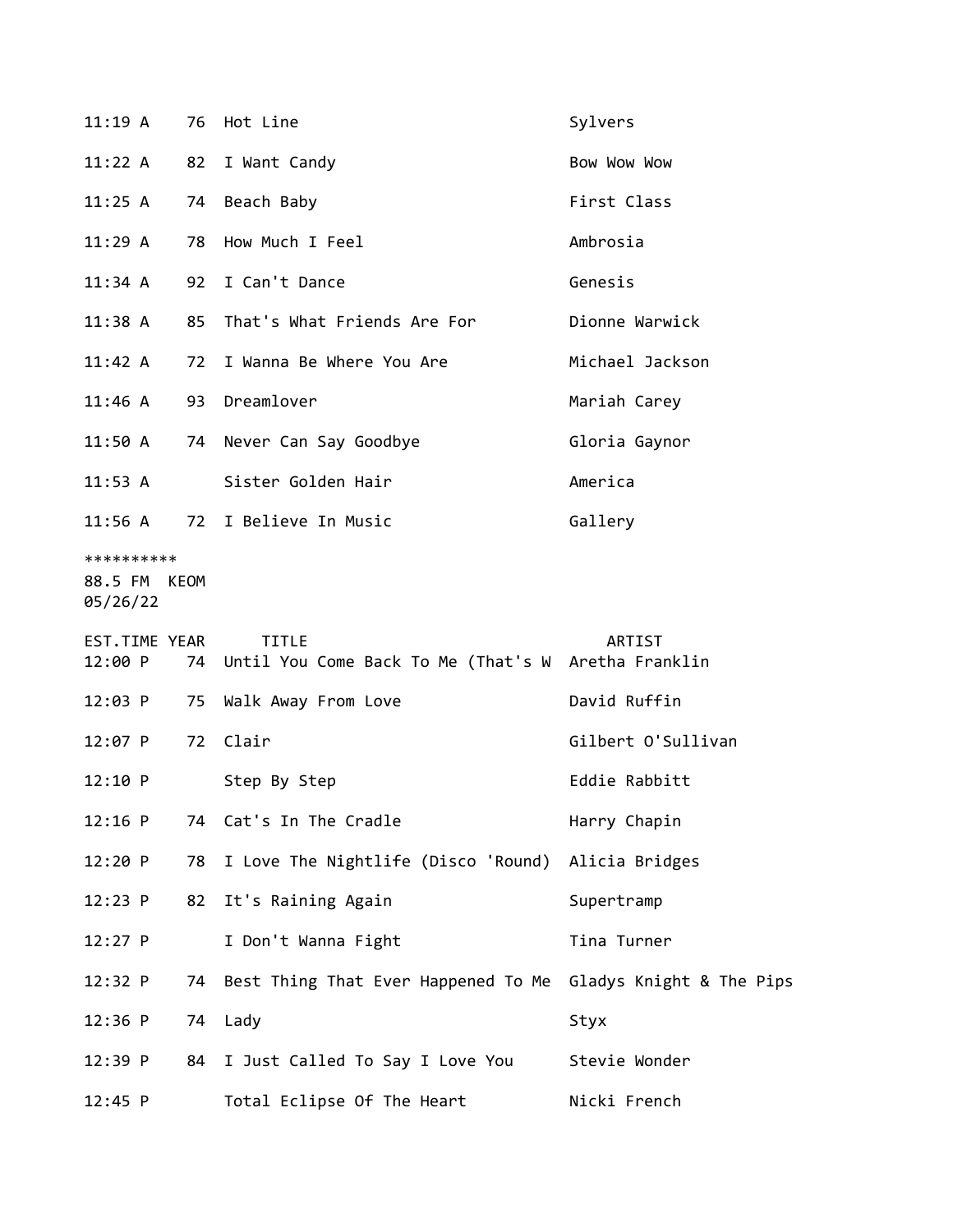| 11:19A                            | 76   | Hot Line                                                               | Sylvers            |
|-----------------------------------|------|------------------------------------------------------------------------|--------------------|
| 11:22 A                           | 82   | I Want Candy                                                           | Bow Wow Wow        |
| 11:25 A                           | 74   | Beach Baby                                                             | First Class        |
| 11:29A                            | 78   | How Much I Feel                                                        | Ambrosia           |
| 11:34 A                           | 92   | I Can't Dance                                                          | Genesis            |
| 11:38 A                           | 85   | That's What Friends Are For                                            | Dionne Warwick     |
| 11:42 A                           | 72   | I Wanna Be Where You Are                                               | Michael Jackson    |
| $11:46$ A                         |      | 93 Dreamlover                                                          | Mariah Carey       |
| 11:50 A                           |      | 74 Never Can Say Goodbye                                               | Gloria Gaynor      |
| $11:53$ A                         |      | Sister Golden Hair                                                     | America            |
| 11:56 A                           |      | 72 I Believe In Music                                                  | Gallery            |
| **********<br>88.5 FM<br>05/26/22 | KEOM |                                                                        |                    |
|                                   |      |                                                                        |                    |
| EST.TIME YEAR<br>12:00 P          |      | <b>TITLE</b><br>74 Until You Come Back To Me (That's W Aretha Franklin | ARTIST             |
| 12:03 P                           | 75   | Walk Away From Love                                                    | David Ruffin       |
| $12:07$ P                         | 72   | Clair                                                                  | Gilbert O'Sullivan |
| 12:10 P                           |      | Step By Step                                                           | Eddie Rabbitt      |
| $12:16$ P                         | 74   | Cat's In The Cradle                                                    | Harry Chapin       |
| 12:20 P                           | 78   | I Love The Nightlife (Disco 'Round) Alicia Bridges                     |                    |
| 12:23 P                           | 82   | It's Raining Again                                                     | Supertramp         |
| $12:27$ P                         |      | I Don't Wanna Fight                                                    | Tina Turner        |
| 12:32 P                           | 74   | Best Thing That Ever Happened To Me Gladys Knight & The Pips           |                    |
| 12:36 P                           | 74   | Lady                                                                   | Styx               |
| 12:39 P                           | 84   | I Just Called To Say I Love You                                        | Stevie Wonder      |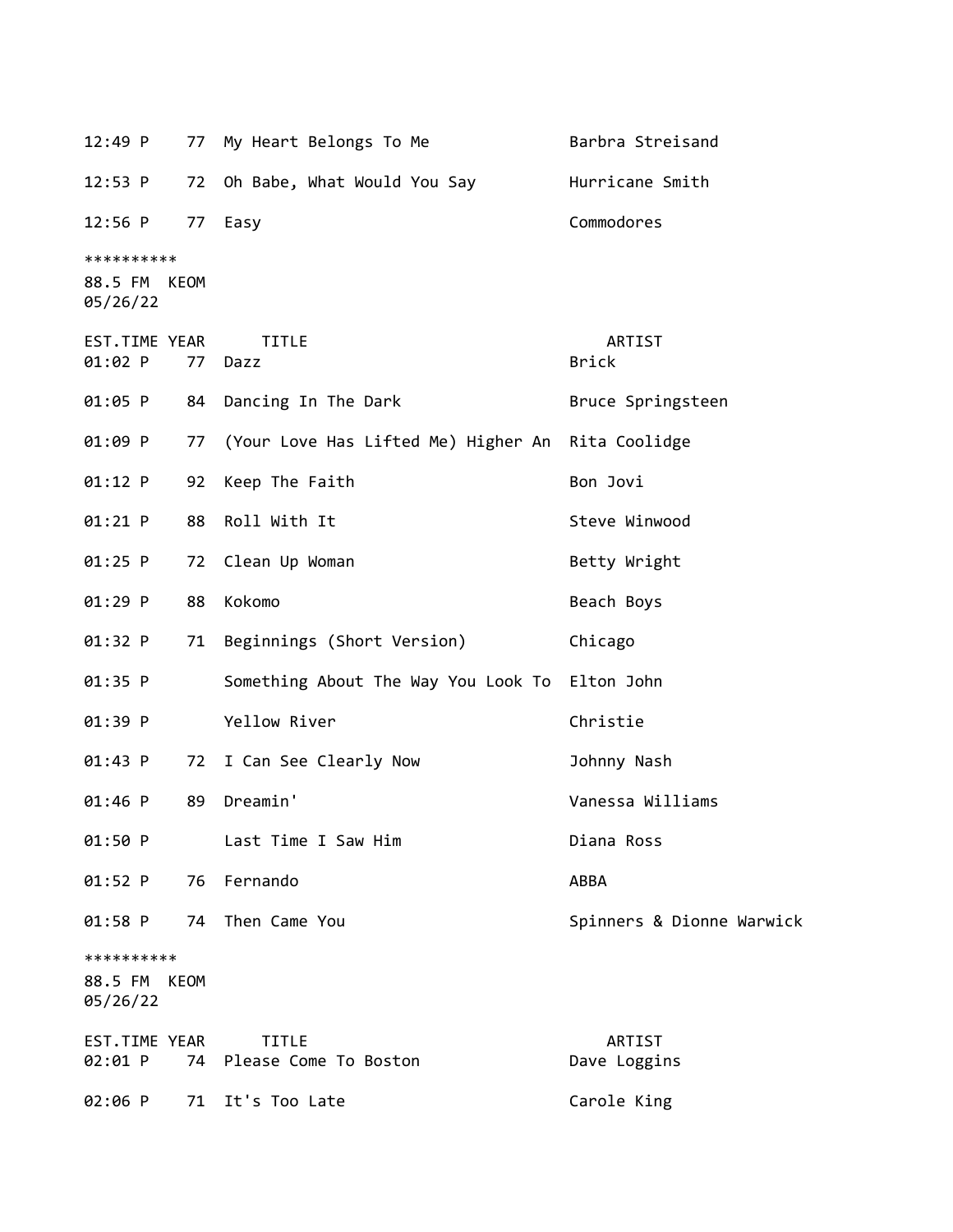12:49 P 77 My Heart Belongs To Me Barbra Streisand 12:53 P 72 Oh Babe, What Would You Say Hurricane Smith 12:56 P 77 Easy Commodores \*\*\*\*\*\*\*\*\*\* 88.5 FM KEOM 05/26/22 EST.TIME YEAR TITLE ARTIST 01:02 P 77 Dazz Brick 01:05 P 84 Dancing In The Dark Bruce Springsteen 01:09 P 77 (Your Love Has Lifted Me) Higher An Rita Coolidge 01:12 P 92 Keep The Faith Bon Jovi 01:21 P 88 Roll With It Steve Winwood 01:25 P 72 Clean Up Woman Betty Wright 01:29 P 88 Kokomo Beach Boys 01:32 P 71 Beginnings (Short Version) Chicago 01:35 P Something About The Way You Look To Elton John 01:39 P Yellow River Christie 01:43 P 72 I Can See Clearly Now **Johnny Nash** 01:46 P 89 Dreamin' Vanessa Williams 01:50 P Last Time I Saw Him Diana Ross 01:52 P 76 Fernando ABBA 01:58 P 74 Then Came You **Spinners & Dionne Warwick** \*\*\*\*\*\*\*\*\*\* 88.5 FM KEOM 05/26/22 EST.TIME YEAR TITLE ARTIST 02:01 P 74 Please Come To Boston Dave Loggins 02:06 P 71 It's Too Late Carole King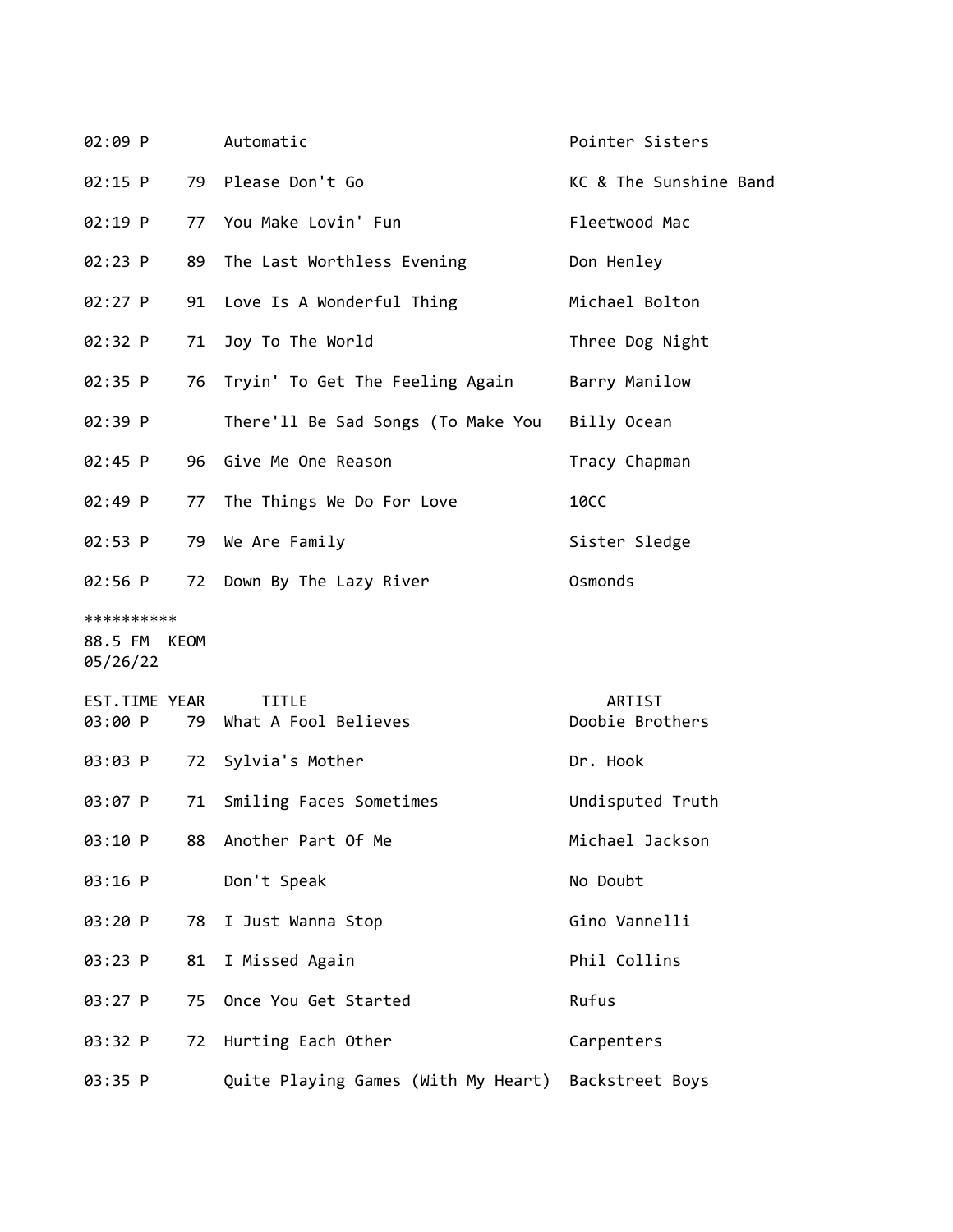| 02:09 P       |    | Automatic                                           | Pointer Sisters        |
|---------------|----|-----------------------------------------------------|------------------------|
| $02:15$ P     |    | 79 Please Don't Go                                  | KC & The Sunshine Band |
| 02:19 P       |    | 77 You Make Lovin' Fun                              | Fleetwood Mac          |
| 02:23 P       | 89 | The Last Worthless Evening                          | Don Henley             |
| 02:27 P       | 91 | Love Is A Wonderful Thing                           | Michael Bolton         |
| 02:32 P       | 71 | Joy To The World                                    | Three Dog Night        |
| 02:35 P       | 76 | Tryin' To Get The Feeling Again                     | Barry Manilow          |
| 02:39 P       |    | There'll Be Sad Songs (To Make You                  | Billy Ocean            |
| 02:45 P       | 96 | Give Me One Reason                                  | Tracy Chapman          |
| 02:49 P       | 77 | The Things We Do For Love                           | <b>10CC</b>            |
| 02:53 P       |    | 79 We Are Family                                    | Sister Sledge          |
| 02:56 P       | 72 | Down By The Lazy River                              | Osmonds                |
| **********    |    |                                                     |                        |
| 88.5 FM KEOM  |    |                                                     |                        |
| 05/26/22      |    |                                                     |                        |
| EST.TIME YEAR |    | <b>TITLE</b>                                        | ARTIST                 |
| 03:00 P       | 79 | What A Fool Believes                                | Doobie Brothers        |
| 03:03 P       | 72 | Sylvia's Mother                                     | Dr. Hook               |
| 03:07 P       | 71 | Smiling Faces Sometimes                             | Undisputed Truth       |
| 03:10 P       | 88 | Another Part Of Me                                  | Michael Jackson        |
| 03:16 P       |    | Don't Speak                                         | No Doubt               |
| 03:20 P       | 78 | I Just Wanna Stop                                   | Gino Vannelli          |
| 03:23 P       | 81 | I Missed Again                                      | Phil Collins           |
| 03:27 P       | 75 | Once You Get Started                                | Rufus                  |
| 03:32 P       | 72 | Hurting Each Other                                  | Carpenters             |
| 03:35 P       |    | Quite Playing Games (With My Heart) Backstreet Boys |                        |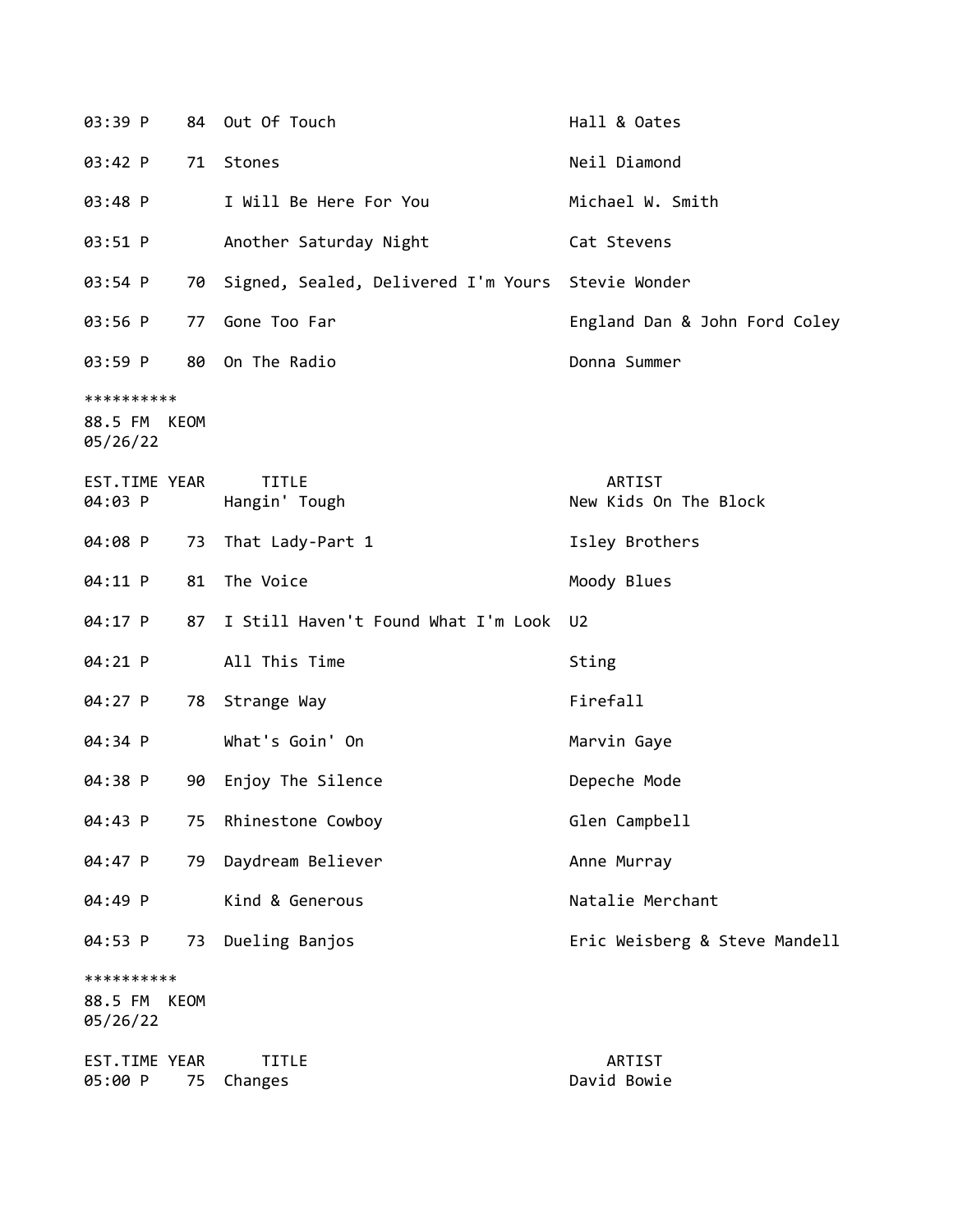| 03:39 P                                |      | 84 Out Of Touch                                      | Hall & Oates                    |
|----------------------------------------|------|------------------------------------------------------|---------------------------------|
| 03:42 P                                |      | 71 Stones                                            | Neil Diamond                    |
| 03:48 P                                |      | I Will Be Here For You                               | Michael W. Smith                |
| 03:51 P                                |      | Another Saturday Night                               | Cat Stevens                     |
| 03:54 P                                |      | 70 Signed, Sealed, Delivered I'm Yours Stevie Wonder |                                 |
| 03:56 P                                | 77   | Gone Too Far                                         | England Dan & John Ford Coley   |
| 03:59 P                                |      | 80 On The Radio                                      | Donna Summer                    |
| **********<br>88.5 FM KEOM<br>05/26/22 |      |                                                      |                                 |
| EST.TIME YEAR<br>04:03 P               |      | <b>TITLE</b><br>Hangin' Tough                        | ARTIST<br>New Kids On The Block |
| 04:08 P                                | 73   | That Lady-Part 1                                     | Isley Brothers                  |
| 04:11 P                                | 81   | The Voice                                            | Moody Blues                     |
| 04:17 P                                | 87   | I Still Haven't Found What I'm Look                  | U <sub>2</sub>                  |
| 04:21 P                                |      | All This Time                                        | Sting                           |
| 04:27 P                                | 78   | Strange Way                                          | Firefall                        |
| 04:34 P                                |      | What's Goin' On                                      | Marvin Gaye                     |
| 04:38 P                                | 90   | Enjoy The Silence                                    | Depeche Mode                    |
| 04:43 P                                | 75   | Rhinestone Cowboy                                    | Glen Campbell                   |
| 04:47 P                                | 79   | Daydream Believer                                    | Anne Murray                     |
| 04:49 P                                |      | Kind & Generous                                      | Natalie Merchant                |
| 04:53 P                                | 73   | Dueling Banjos                                       | Eric Weisberg & Steve Mandell   |
| **********<br>88.5 FM<br>05/26/22      | KEOM |                                                      |                                 |
| EST.TIME YEAR<br>05:00 P               | 75   | <b>TITLE</b><br>Changes                              | ARTIST<br>David Bowie           |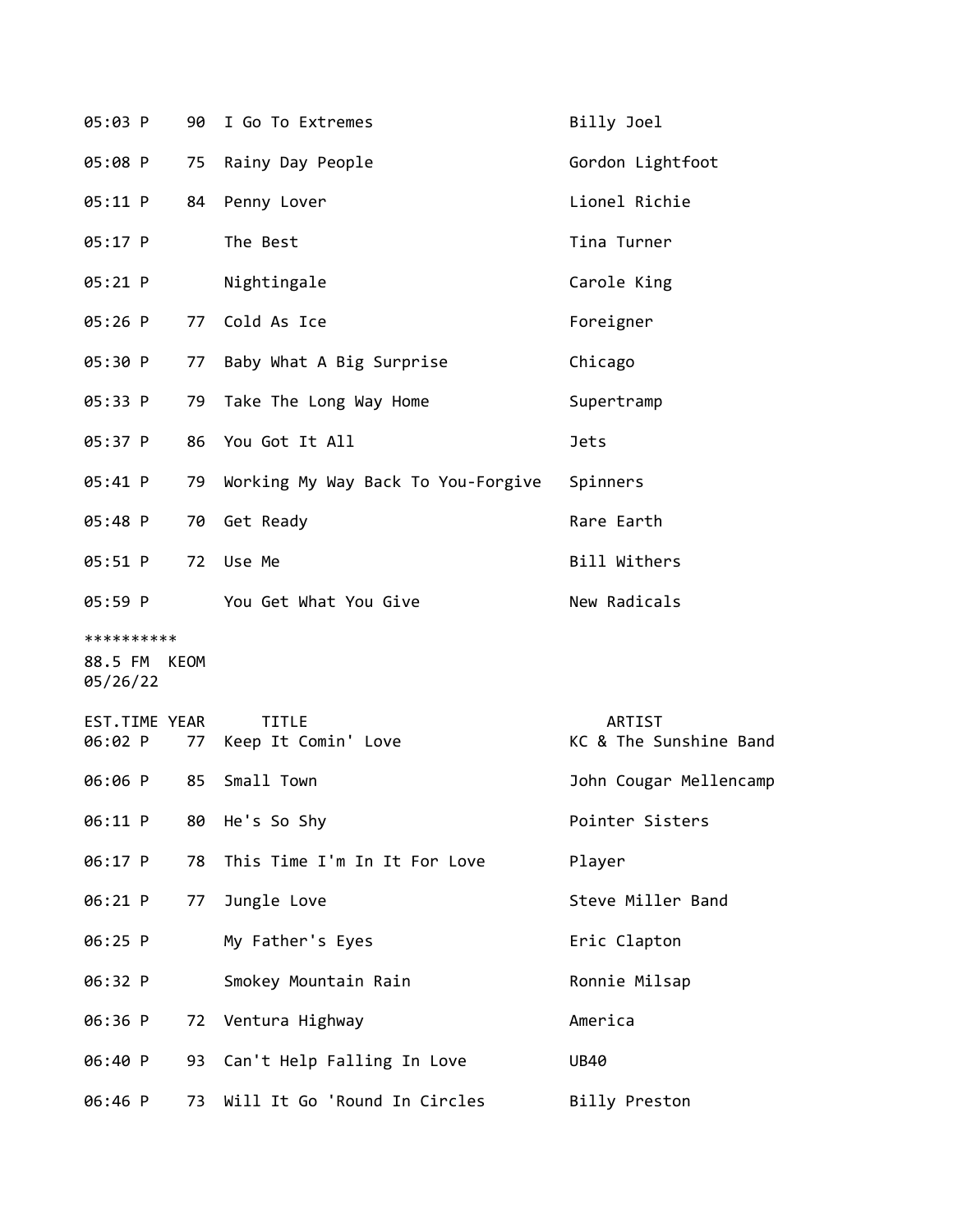| 05:03 P                                | 90 | I Go To Extremes                    | Billy Joel                              |
|----------------------------------------|----|-------------------------------------|-----------------------------------------|
| 05:08 P                                | 75 | Rainy Day People                    | Gordon Lightfoot                        |
| 05:11 P                                | 84 | Penny Lover                         | Lionel Richie                           |
| 05:17 P                                |    | The Best                            | Tina Turner                             |
| 05:21 P                                |    | Nightingale                         | Carole King                             |
| 05:26 P                                | 77 | Cold As Ice                         | Foreigner                               |
| 05:30 P                                | 77 | Baby What A Big Surprise            | Chicago                                 |
| 05:33 P                                | 79 | Take The Long Way Home              | Supertramp                              |
| 05:37 P                                | 86 | You Got It All                      | <b>Jets</b>                             |
| 05:41 P                                | 79 | Working My Way Back To You-Forgive  | Spinners                                |
| 05:48 P                                | 70 | Get Ready                           | Rare Earth                              |
| 05:51 P                                | 72 | Use Me                              | Bill Withers                            |
| 05:59 P                                |    | You Get What You Give               | New Radicals                            |
| **********<br>88.5 FM KEOM<br>05/26/22 |    |                                     |                                         |
| EST.TIME YEAR<br>06:02 P               | 77 | <b>TITLE</b><br>Keep It Comin' Love | <b>ARTIST</b><br>KC & The Sunshine Band |
| 06:06 P                                | 85 | Small Town                          | John Cougar Mellencamp                  |
| 06:11 P                                | 80 | He's So Shy                         | Pointer Sisters                         |
| 06:17 P                                | 78 | This Time I'm In It For Love        | Player                                  |
| 06:21 P                                | 77 | Jungle Love                         | Steve Miller Band                       |
| 06:25 P                                |    | My Father's Eyes                    | Eric Clapton                            |
| 06:32 P                                |    | Smokey Mountain Rain                | Ronnie Milsap                           |
| 06:36 P                                | 72 | Ventura Highway                     | America                                 |
| 06:40 P                                | 93 | Can't Help Falling In Love          | <b>UB40</b>                             |
| 06:46 P                                | 73 | Will It Go 'Round In Circles        | Billy Preston                           |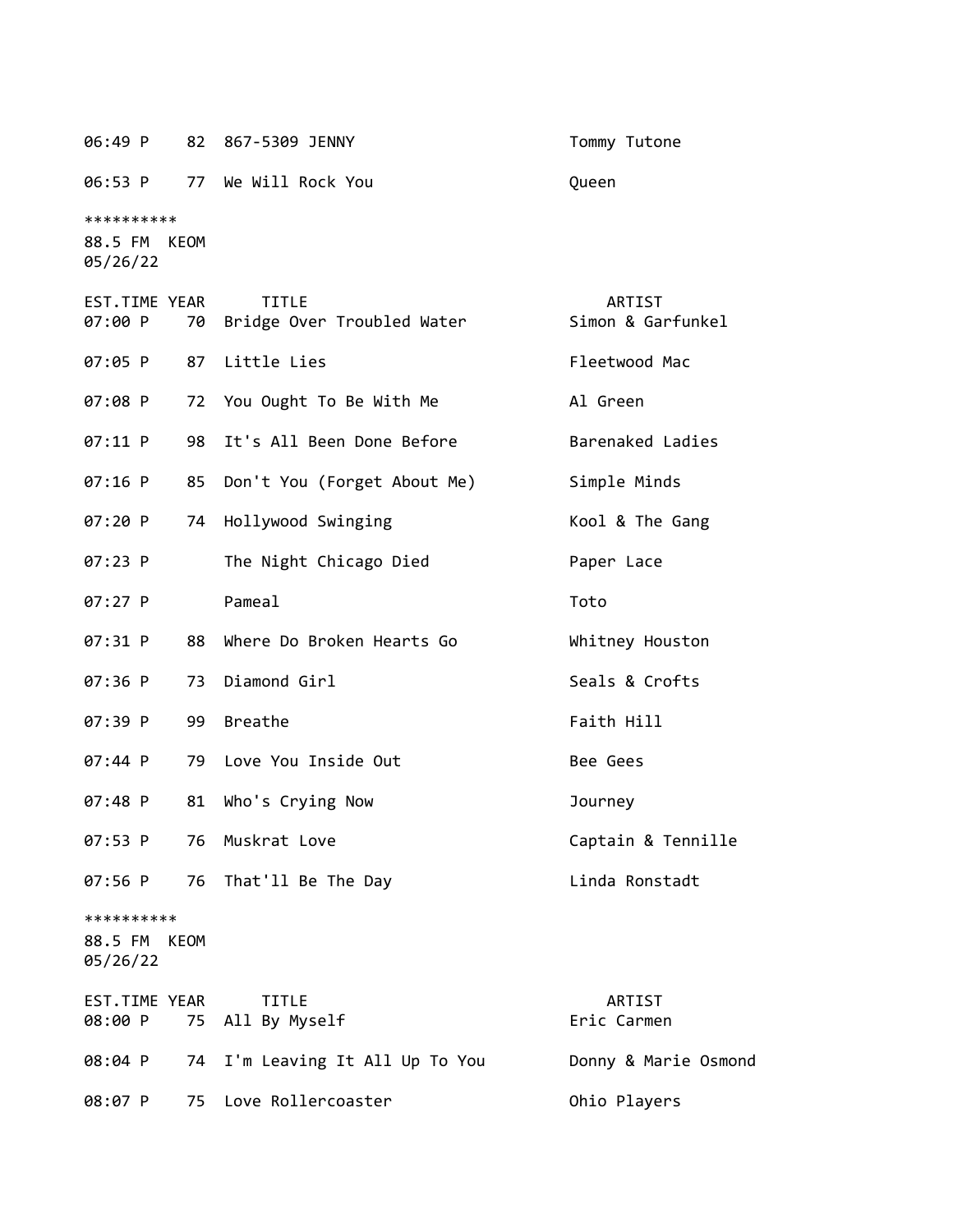06:49 P 82 867-5309 JENNY Tommy Tutone

06:53 P 77 We Will Rock You Queen

\*\*\*\*\*\*\*\*\*\*

88.5 FM KEOM 05/26/22

| EST.TIME YEAR<br>07:00 P               | 70 | <b>TITLE</b><br>Bridge Over Troubled Water | ARTIST<br>Simon & Garfunkel |
|----------------------------------------|----|--------------------------------------------|-----------------------------|
| 07:05 P                                | 87 | Little Lies                                | Fleetwood Mac               |
| 07:08 P                                | 72 | You Ought To Be With Me                    | Al Green                    |
| 07:11 P                                | 98 | It's All Been Done Before                  | Barenaked Ladies            |
| $07:16$ P                              | 85 | Don't You (Forget About Me)                | Simple Minds                |
| 07:20 P                                | 74 | Hollywood Swinging                         | Kool & The Gang             |
| 07:23 P                                |    | The Night Chicago Died                     | Paper Lace                  |
| 07:27 P                                |    | Pameal                                     | Toto                        |
| $07:31$ P                              | 88 | Where Do Broken Hearts Go                  | Whitney Houston             |
| 07:36 P                                | 73 | Diamond Girl                               | Seals & Crofts              |
| 07:39 P                                | 99 | <b>Breathe</b>                             | Faith Hill                  |
| 07:44 P                                | 79 | Love You Inside Out                        | Bee Gees                    |
| 07:48 P                                | 81 | Who's Crying Now                           | Journey                     |
| 07:53 P                                | 76 | Muskrat Love                               | Captain & Tennille          |
| 07:56 P                                | 76 | That'll Be The Day                         | Linda Ronstadt              |
| **********<br>88.5 FM KEOM<br>05/26/22 |    |                                            |                             |
| EST.TIME YEAR<br>08:00 P               | 75 | TITLE<br>All By Myself                     | ARTIST<br>Eric Carmen       |
| 08:04 P                                | 74 | I'm Leaving It All Up To You               | Donny & Marie Osmond        |

08:07 P 75 Love Rollercoaster C 0hio Players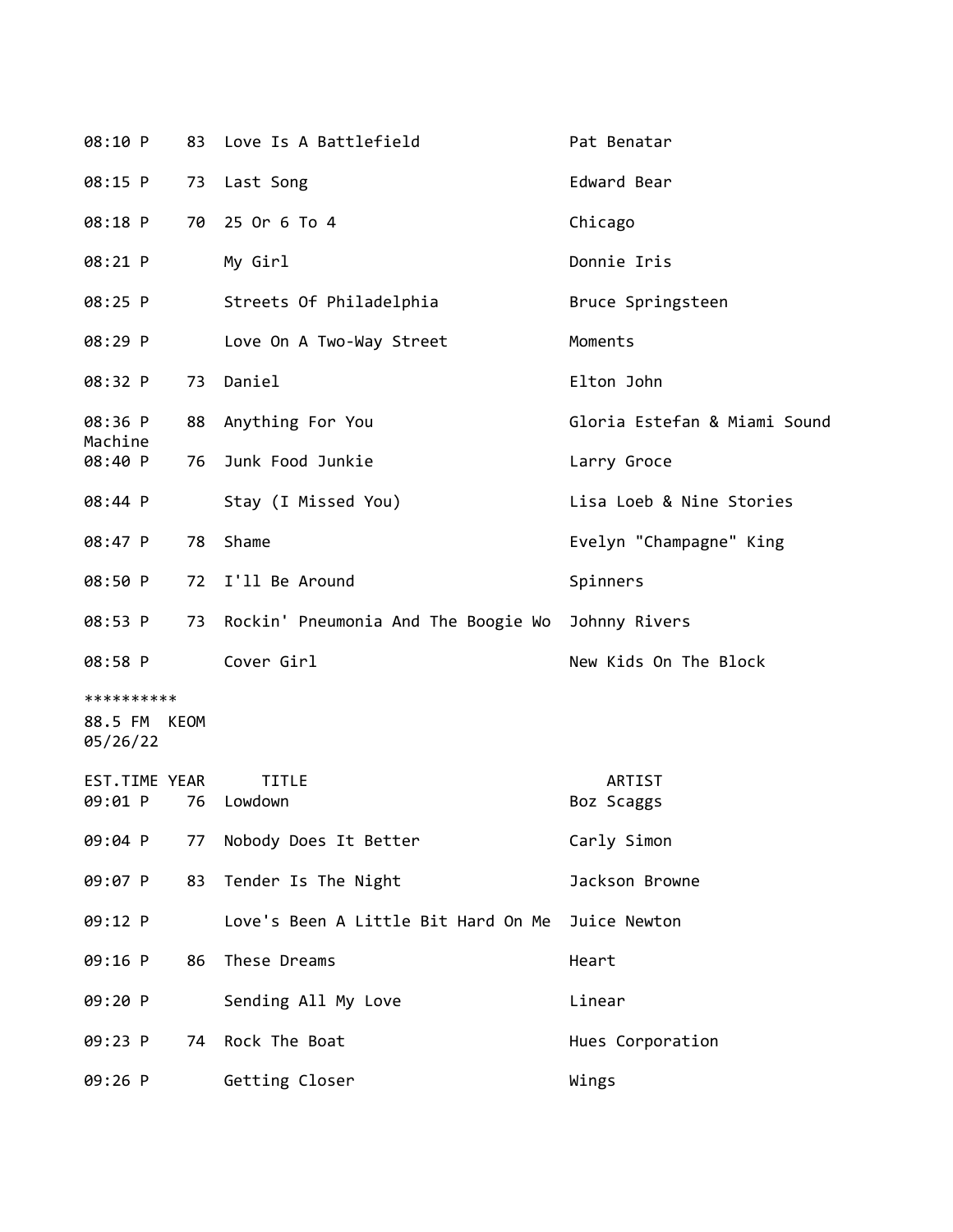| 08:10 P                  |    | 83 Love Is A Battlefield               | Pat Benatar                  |
|--------------------------|----|----------------------------------------|------------------------------|
| 08:15 P                  |    | 73 Last Song                           | Edward Bear                  |
| 08:18 P                  | 70 | 25 Or 6 To 4                           | Chicago                      |
| 08:21 P                  |    | My Girl                                | Donnie Iris                  |
| 08:25 P                  |    | Streets Of Philadelphia                | Bruce Springsteen            |
| 08:29 P                  |    | Love On A Two-Way Street               | Moments                      |
| 08:32 P                  |    | 73 Daniel                              | Elton John                   |
| 08:36 P<br>Machine       |    | 88 Anything For You                    | Gloria Estefan & Miami Sound |
| 08:40 P                  | 76 | Junk Food Junkie                       | Larry Groce                  |
| 08:44 P                  |    | Stay (I Missed You)                    | Lisa Loeb & Nine Stories     |
| 08:47 P                  | 78 | Shame                                  | Evelyn "Champagne" King      |
| 08:50 P                  |    | 72 I'll Be Around                      | Spinners                     |
| 08:53 P                  |    | 73 Rockin' Pneumonia And The Boogie Wo | Johnny Rivers                |
| 08:58 P                  |    | Cover Girl                             | New Kids On The Block        |
| **********               |    |                                        |                              |
| 88.5 FM KEOM<br>05/26/22 |    |                                        |                              |
| EST.TIME YEAR            |    | <b>TITLE</b>                           | ARTIST                       |
| 09:01 P                  | 76 | Lowdown                                | Boz Scaggs                   |
| 09:04 P                  |    | 77 Nobody Does It Better               | Carly Simon                  |
| 09:07 P                  | 83 | Tender Is The Night                    | Jackson Browne               |
| 09:12 P                  |    | Love's Been A Little Bit Hard On Me    | Juice Newton                 |
| 09:16 P                  | 86 | These Dreams                           | Heart                        |
| 09:20 P                  |    | Sending All My Love                    | Linear                       |
| 09:23 P                  | 74 | Rock The Boat                          | Hues Corporation             |
| 09:26 P                  |    | Getting Closer                         | Wings                        |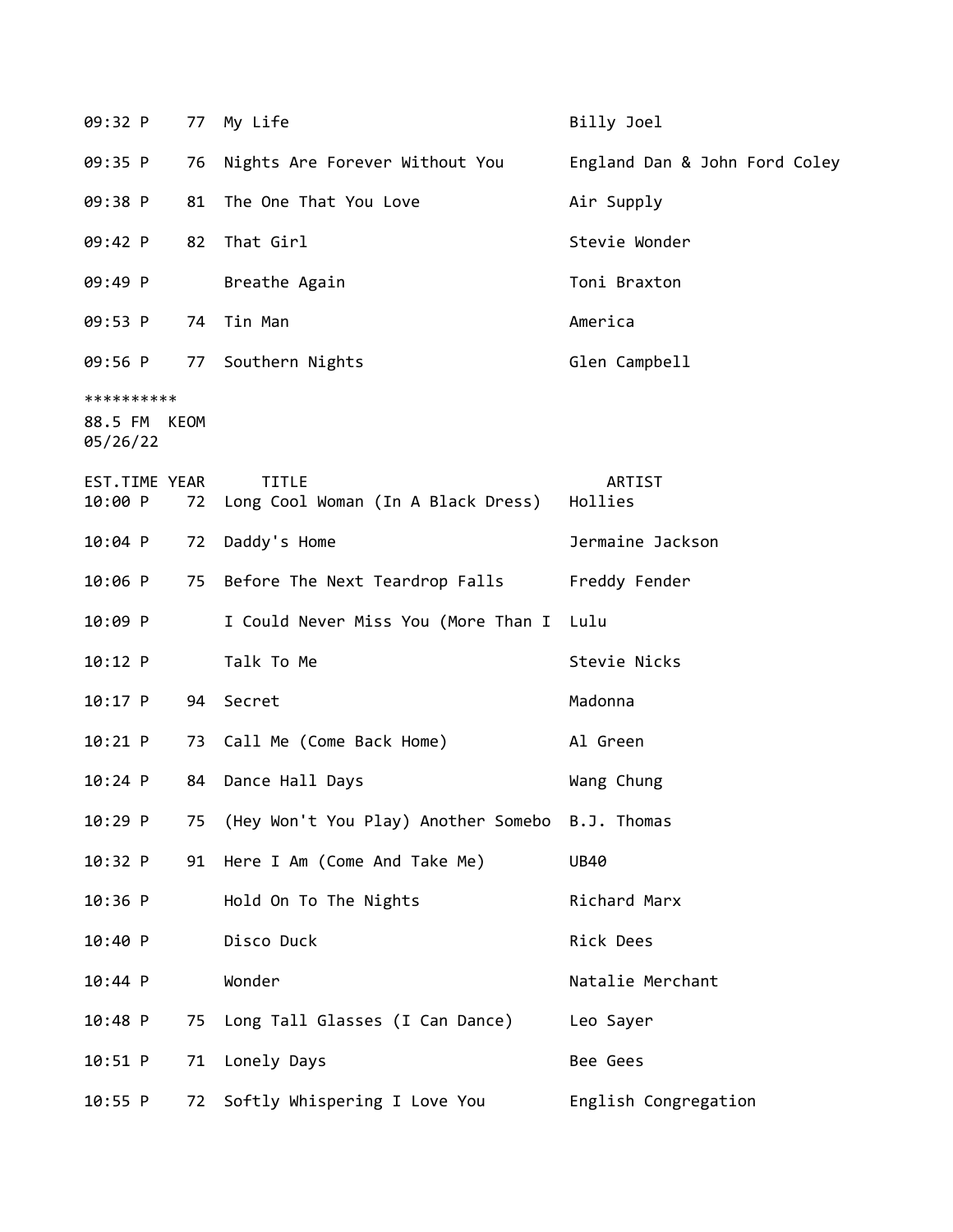| 09:32 P                                |    | 77 My Life                                         | Billy Joel                    |
|----------------------------------------|----|----------------------------------------------------|-------------------------------|
| 09:35 P                                |    | 76 Nights Are Forever Without You                  | England Dan & John Ford Coley |
| 09:38 P                                | 81 | The One That You Love                              | Air Supply                    |
| 09:42 P                                | 82 | That Girl                                          | Stevie Wonder                 |
| 09:49 P                                |    | Breathe Again                                      | Toni Braxton                  |
| 09:53 P                                |    | 74 Tin Man                                         | America                       |
| 09:56 P                                |    | 77 Southern Nights                                 | Glen Campbell                 |
| **********<br>88.5 FM KEOM<br>05/26/22 |    |                                                    |                               |
| EST.TIME YEAR<br>10:00 P               | 72 | <b>TITLE</b><br>Long Cool Woman (In A Black Dress) | ARTIST<br>Hollies             |
| $10:04$ P                              | 72 | Daddy's Home                                       | Jermaine Jackson              |
| 10:06 P                                |    | 75 Before The Next Teardrop Falls                  | Freddy Fender                 |
| 10:09 P                                |    | I Could Never Miss You (More Than I Lulu           |                               |
| 10:12 P                                |    | Talk To Me                                         | Stevie Nicks                  |
| $10:17$ P                              |    | 94 Secret                                          | Madonna                       |
| 10:21 P                                |    | 73 Call Me (Come Back Home)                        | Al Green                      |
| $10:24$ P                              | 84 | Dance Hall Days                                    | Wang Chung                    |
| 10:29 P                                |    | 75 (Hey Won't You Play) Another Somebo B.J. Thomas |                               |
| 10:32 P                                |    | 91 Here I Am (Come And Take Me)                    | <b>UB40</b>                   |
| 10:36 P                                |    | Hold On To The Nights                              | Richard Marx                  |
| 10:40 P                                |    | Disco Duck                                         | Rick Dees                     |
| 10:44 P                                |    | Wonder                                             | Natalie Merchant              |
| 10:48 P                                | 75 | Long Tall Glasses (I Can Dance)                    | Leo Sayer                     |
| 10:51 P                                | 71 | Lonely Days                                        | Bee Gees                      |
| $10:55$ P                              | 72 | Softly Whispering I Love You                       | English Congregation          |